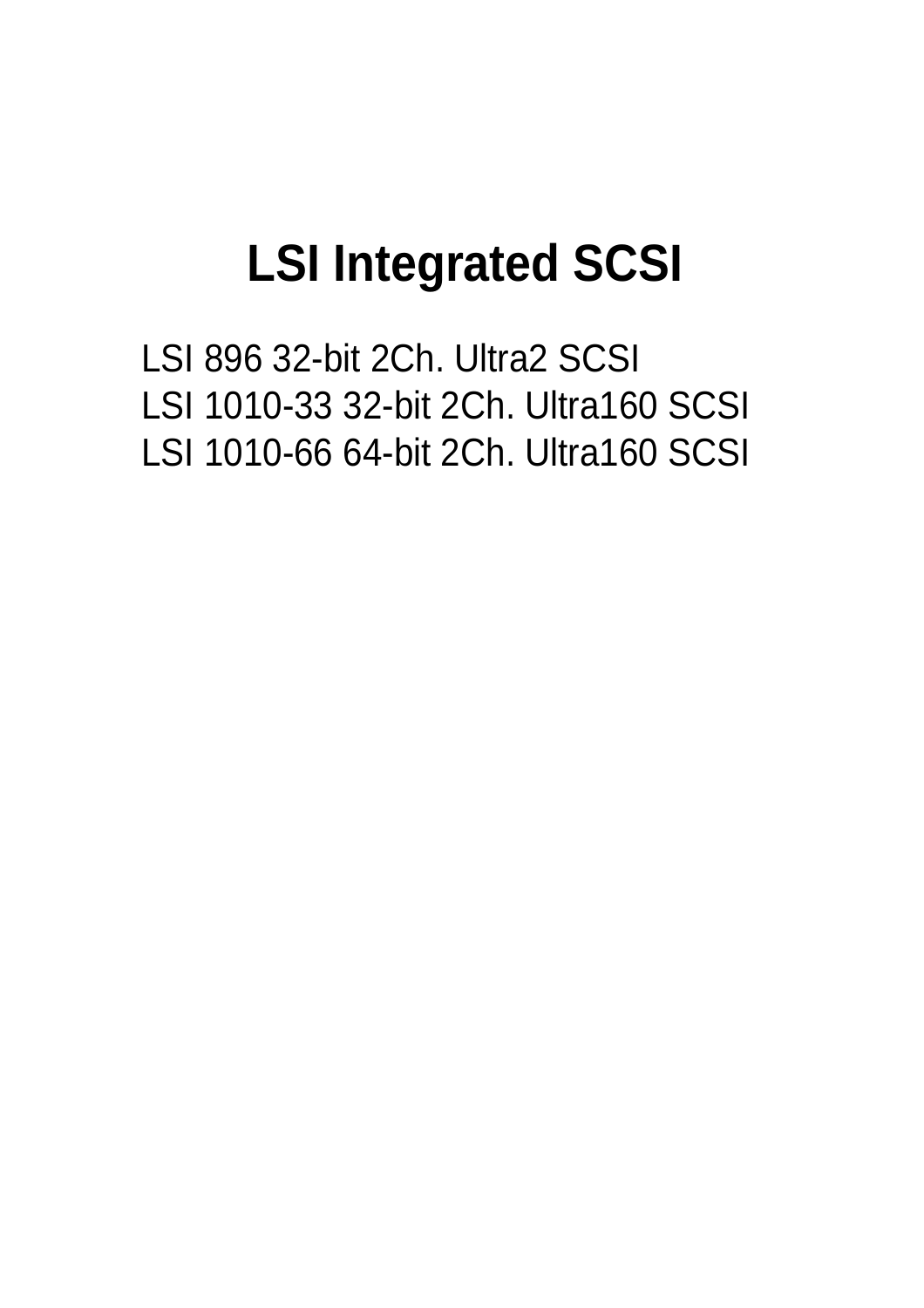# **LSI Integrated SCSI**

LSI 896 32-bit 2Ch. Ultra2 SCSI LSI 1010-33 32-bit 2Ch. Ultra160 SCSI LSI 1010-66 64-bit 2Ch. Ultra160 SCSI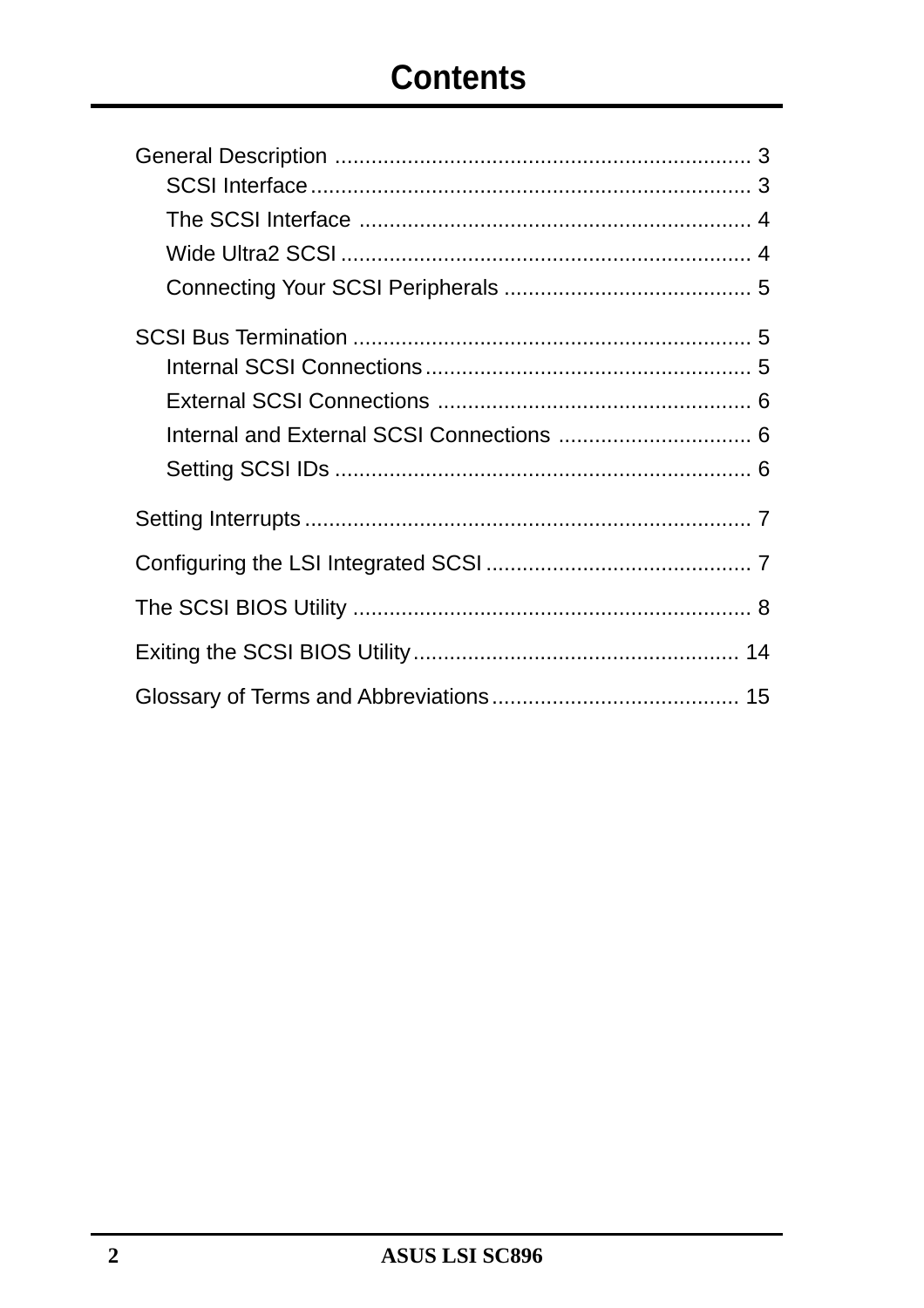# **Contents**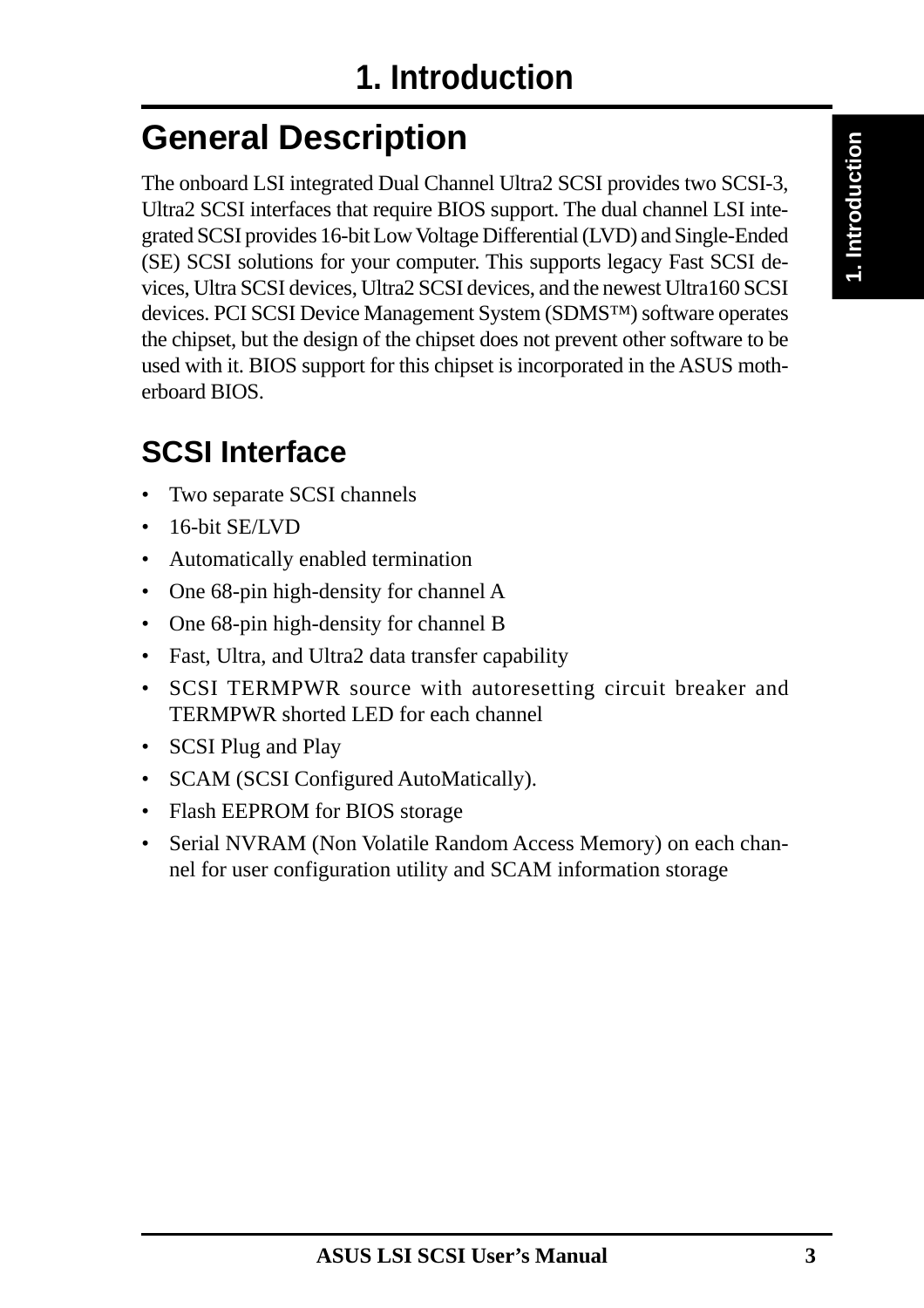# **General Description**

The onboard LSI integrated Dual Channel Ultra2 SCSI provides two SCSI-3, Ultra2 SCSI interfaces that require BIOS support. The dual channel LSI integrated SCSI provides 16-bit Low Voltage Differential (LVD) and Single-Ended (SE) SCSI solutions for your computer. This supports legacy Fast SCSI devices, Ultra SCSI devices, Ultra2 SCSI devices, and the newest Ultra160 SCSI devices. PCI SCSI Device Management System (SDMS™) software operates the chipset, but the design of the chipset does not prevent other software to be used with it. BIOS support for this chipset is incorporated in the ASUS motherboard BIOS.

## **SCSI Interface**

- Two separate SCSI channels
- 16-bit SE/LVD
- Automatically enabled termination
- One 68-pin high-density for channel A
- One 68-pin high-density for channel B
- Fast, Ultra, and Ultra2 data transfer capability
- SCSI TERMPWR source with autoresetting circuit breaker and TERMPWR shorted LED for each channel
- SCSI Plug and Play
- SCAM (SCSI Configured AutoMatically).
- Flash EEPROM for BIOS storage
- Serial NVRAM (Non Volatile Random Access Memory) on each channel for user configuration utility and SCAM information storage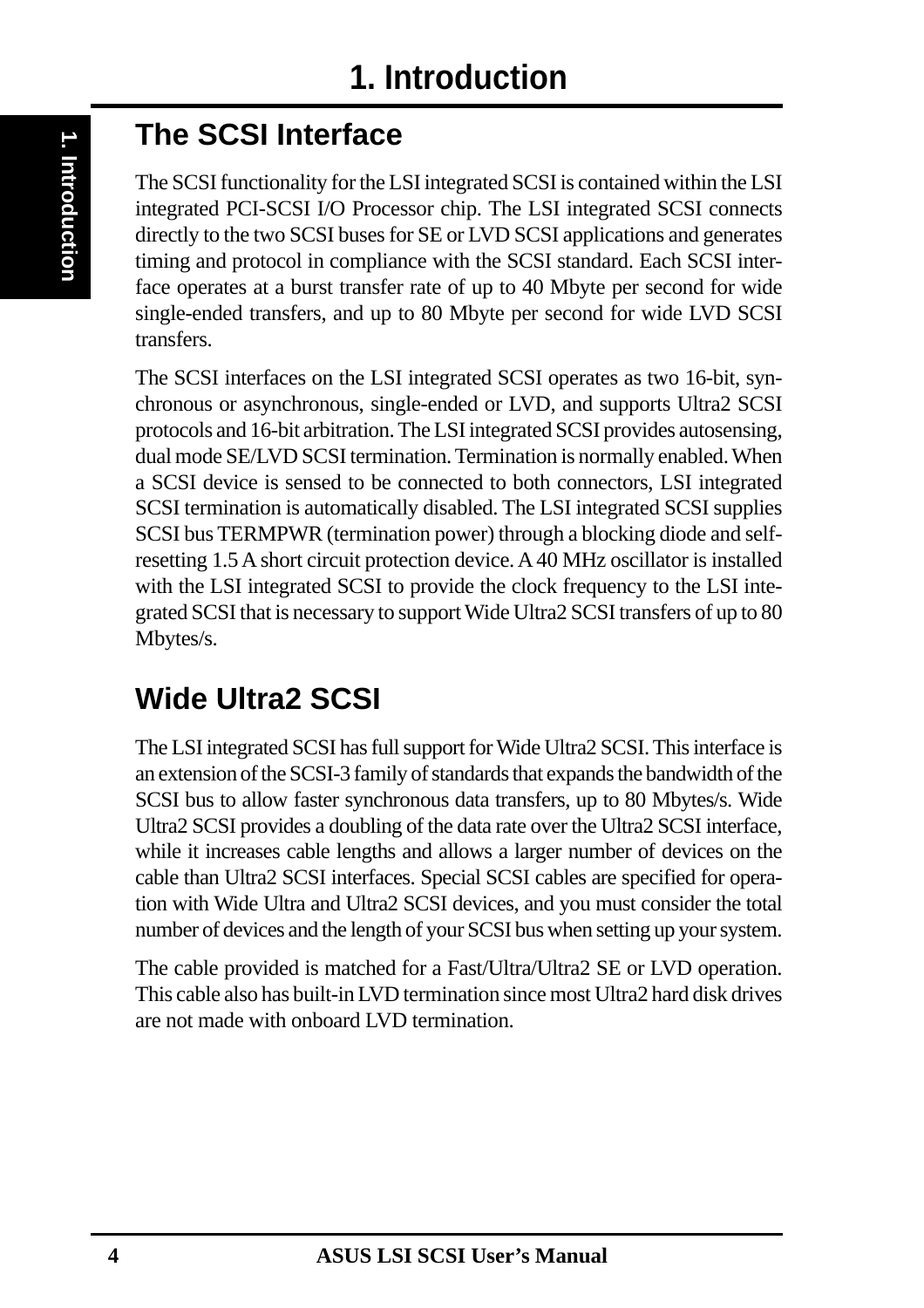## **The SCSI Interface**

The SCSI functionality for the LSI integrated SCSI is contained within the LSI integrated PCI-SCSI I/O Processor chip. The LSI integrated SCSI connects directly to the two SCSI buses for SE or LVD SCSI applications and generates timing and protocol in compliance with the SCSI standard. Each SCSI interface operates at a burst transfer rate of up to 40 Mbyte per second for wide single-ended transfers, and up to 80 Mbyte per second for wide LVD SCSI transfers.

The SCSI interfaces on the LSI integrated SCSI operates as two 16-bit, synchronous or asynchronous, single-ended or LVD, and supports Ultra2 SCSI protocols and 16-bit arbitration. The LSI integrated SCSI provides autosensing, dual mode SE/LVD SCSI termination. Termination is normally enabled. When a SCSI device is sensed to be connected to both connectors, LSI integrated SCSI termination is automatically disabled. The LSI integrated SCSI supplies SCSI bus TERMPWR (termination power) through a blocking diode and selfresetting 1.5 A short circuit protection device. A 40 MHz oscillator is installed with the LSI integrated SCSI to provide the clock frequency to the LSI integrated SCSI that is necessary to support Wide Ultra2 SCSI transfers of up to 80 Mbytes/s.

# **Wide Ultra2 SCSI**

The LSI integrated SCSI has full support for Wide Ultra2 SCSI. This interface is an extension of the SCSI-3 family of standards that expands the bandwidth of the SCSI bus to allow faster synchronous data transfers, up to 80 Mbytes/s. Wide Ultra2 SCSI provides a doubling of the data rate over the Ultra2 SCSI interface, while it increases cable lengths and allows a larger number of devices on the cable than Ultra2 SCSI interfaces. Special SCSI cables are specified for operation with Wide Ultra and Ultra2 SCSI devices, and you must consider the total number of devices and the length of your SCSI bus when setting up your system.

The cable provided is matched for a Fast/Ultra/Ultra2 SE or LVD operation. This cable also has built-in LVD termination since most Ultra2 hard disk drives are not made with onboard LVD termination.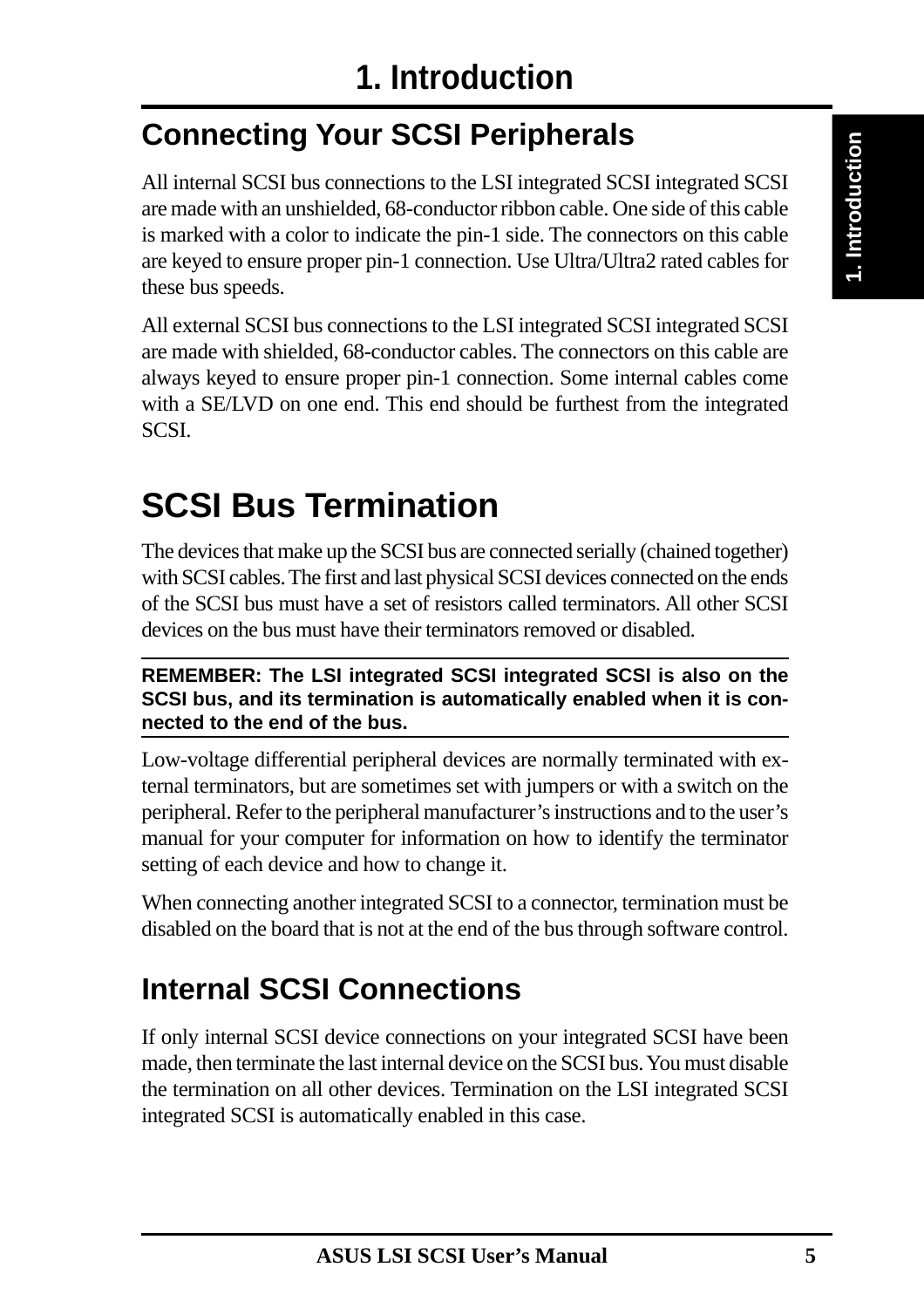# **Connecting Your SCSI Peripherals**

All internal SCSI bus connections to the LSI integrated SCSI integrated SCSI are made with an unshielded, 68-conductor ribbon cable. One side of this cable is marked with a color to indicate the pin-1 side. The connectors on this cable are keyed to ensure proper pin-1 connection. Use Ultra/Ultra2 rated cables for these bus speeds.

All external SCSI bus connections to the LSI integrated SCSI integrated SCSI are made with shielded, 68-conductor cables. The connectors on this cable are always keyed to ensure proper pin-1 connection. Some internal cables come with a SE/LVD on one end. This end should be furthest from the integrated SCSI.

# **SCSI Bus Termination**

The devices that make up the SCSI bus are connected serially (chained together) with SCSI cables. The first and last physical SCSI devices connected on the ends of the SCSI bus must have a set of resistors called terminators. All other SCSI devices on the bus must have their terminators removed or disabled.

**REMEMBER: The LSI integrated SCSI integrated SCSI is also on the SCSI bus, and its termination is automatically enabled when it is connected to the end of the bus.**

Low-voltage differential peripheral devices are normally terminated with external terminators, but are sometimes set with jumpers or with a switch on the peripheral. Refer to the peripheral manufacturer's instructions and to the user's manual for your computer for information on how to identify the terminator setting of each device and how to change it.

When connecting another integrated SCSI to a connector, termination must be disabled on the board that is not at the end of the bus through software control.

# **Internal SCSI Connections**

If only internal SCSI device connections on your integrated SCSI have been made, then terminate the last internal device on the SCSI bus. You must disable the termination on all other devices. Termination on the LSI integrated SCSI integrated SCSI is automatically enabled in this case.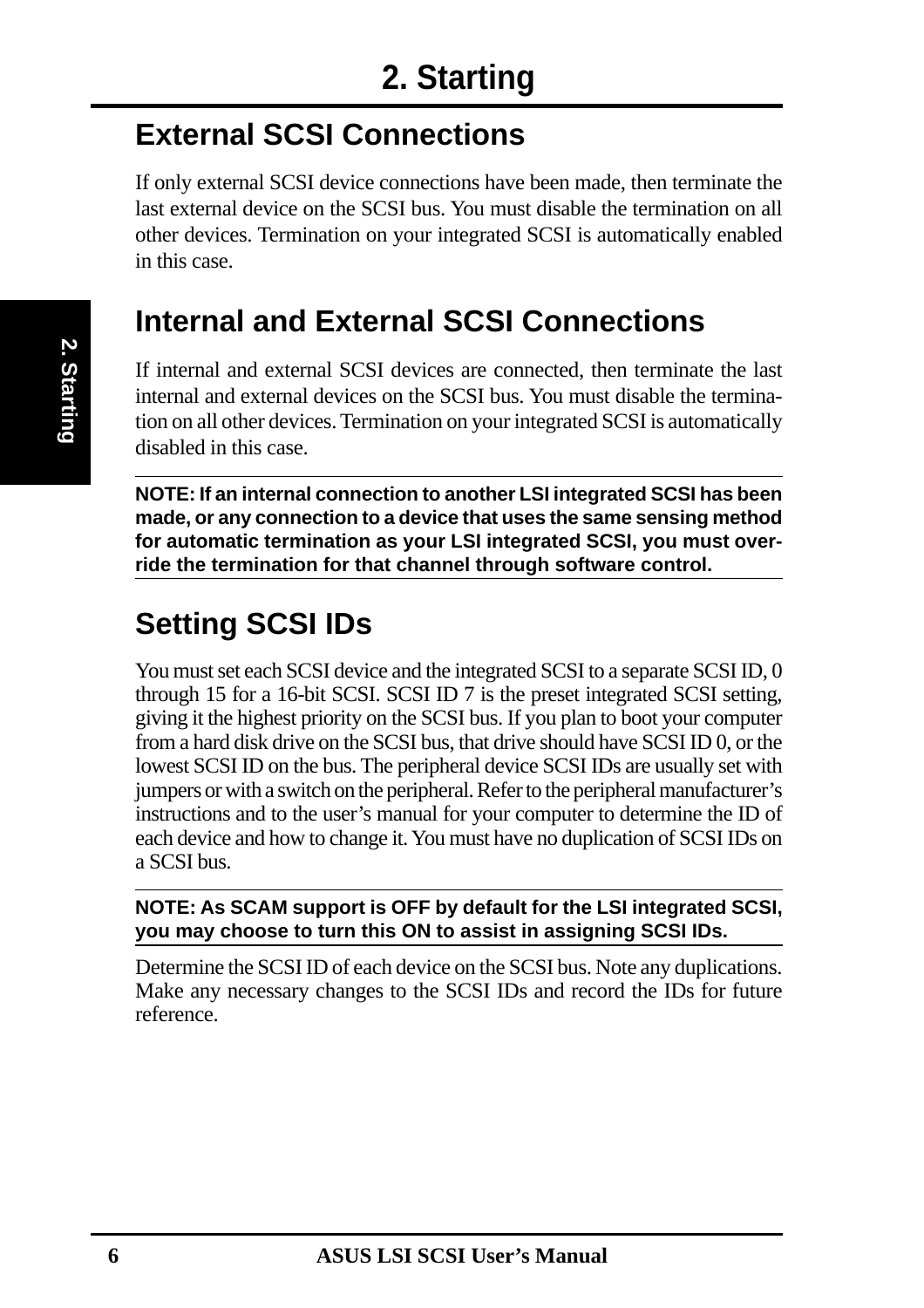## **External SCSI Connections**

If only external SCSI device connections have been made, then terminate the last external device on the SCSI bus. You must disable the termination on all other devices. Termination on your integrated SCSI is automatically enabled in this case.

## **Internal and External SCSI Connections**

If internal and external SCSI devices are connected, then terminate the last internal and external devices on the SCSI bus. You must disable the termination on all other devices. Termination on your integrated SCSI is automatically disabled in this case.

**NOTE: If an internal connection to another LSI integrated SCSI has been made, or any connection to a device that uses the same sensing method for automatic termination as your LSI integrated SCSI, you must override the termination for that channel through software control.**

## **Setting SCSI IDs**

You must set each SCSI device and the integrated SCSI to a separate SCSI ID, 0 through 15 for a 16-bit SCSI. SCSI ID 7 is the preset integrated SCSI setting, giving it the highest priority on the SCSI bus. If you plan to boot your computer from a hard disk drive on the SCSI bus, that drive should have SCSI ID 0, or the lowest SCSI ID on the bus. The peripheral device SCSI IDs are usually set with jumpers or with a switch on the peripheral. Refer to the peripheral manufacturer's instructions and to the user's manual for your computer to determine the ID of each device and how to change it. You must have no duplication of SCSI IDs on a SCSI bus.

#### **NOTE: As SCAM support is OFF by default for the LSI integrated SCSI, you may choose to turn this ON to assist in assigning SCSI IDs.**

Determine the SCSI ID of each device on the SCSI bus. Note any duplications. Make any necessary changes to the SCSI IDs and record the IDs for future reference.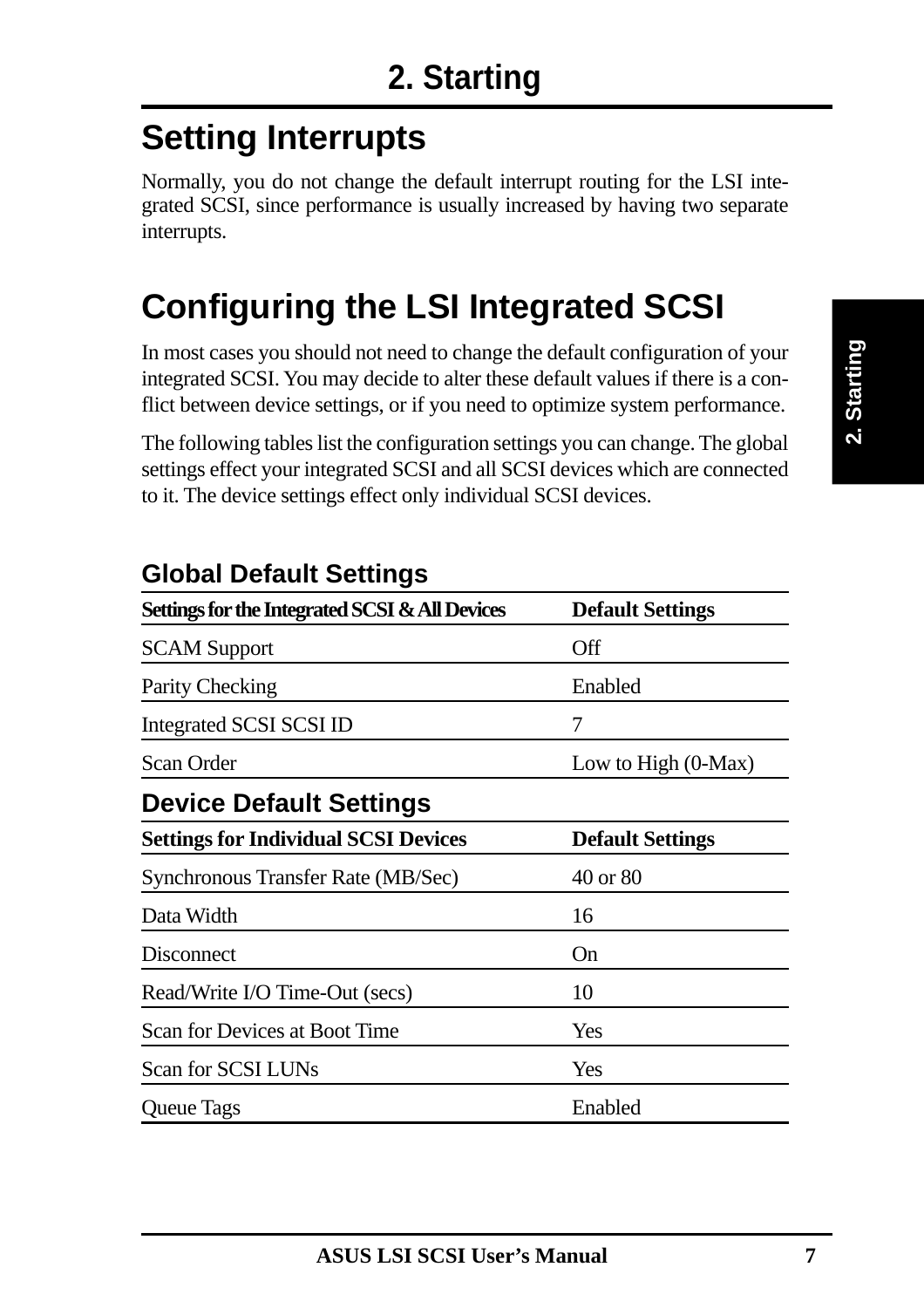# **Setting Interrupts**

Normally, you do not change the default interrupt routing for the LSI integrated SCSI, since performance is usually increased by having two separate interrupts.

# **Configuring the LSI Integrated SCSI**

In most cases you should not need to change the default configuration of your integrated SCSI. You may decide to alter these default values if there is a conflict between device settings, or if you need to optimize system performance.

The following tables list the configuration settings you can change. The global settings effect your integrated SCSI and all SCSI devices which are connected to it. The device settings effect only individual SCSI devices.

| Settings for the Integrated SCSI & All Devices | <b>Default Settings</b> |  |
|------------------------------------------------|-------------------------|--|
| <b>SCAM Support</b>                            | <b>Off</b>              |  |
| <b>Parity Checking</b>                         | Enabled                 |  |
| Integrated SCSI SCSI ID                        | 7                       |  |
| Scan Order                                     | Low to High $(0-Max)$   |  |
| <b>Device Default Settings</b>                 |                         |  |
| <b>Settings for Individual SCSI Devices</b>    | <b>Default Settings</b> |  |
| Synchronous Transfer Rate (MB/Sec)             | 40 or 80                |  |
| Data Width                                     | 16                      |  |
| Disconnect                                     | On                      |  |
| Read/Write I/O Time-Out (secs)                 | 10                      |  |
| Scan for Devices at Boot Time                  | Yes                     |  |
| Scan for SCSI LUNs                             | Yes                     |  |
| <b>Queue Tags</b>                              | Enabled                 |  |

#### **Global Default Settings**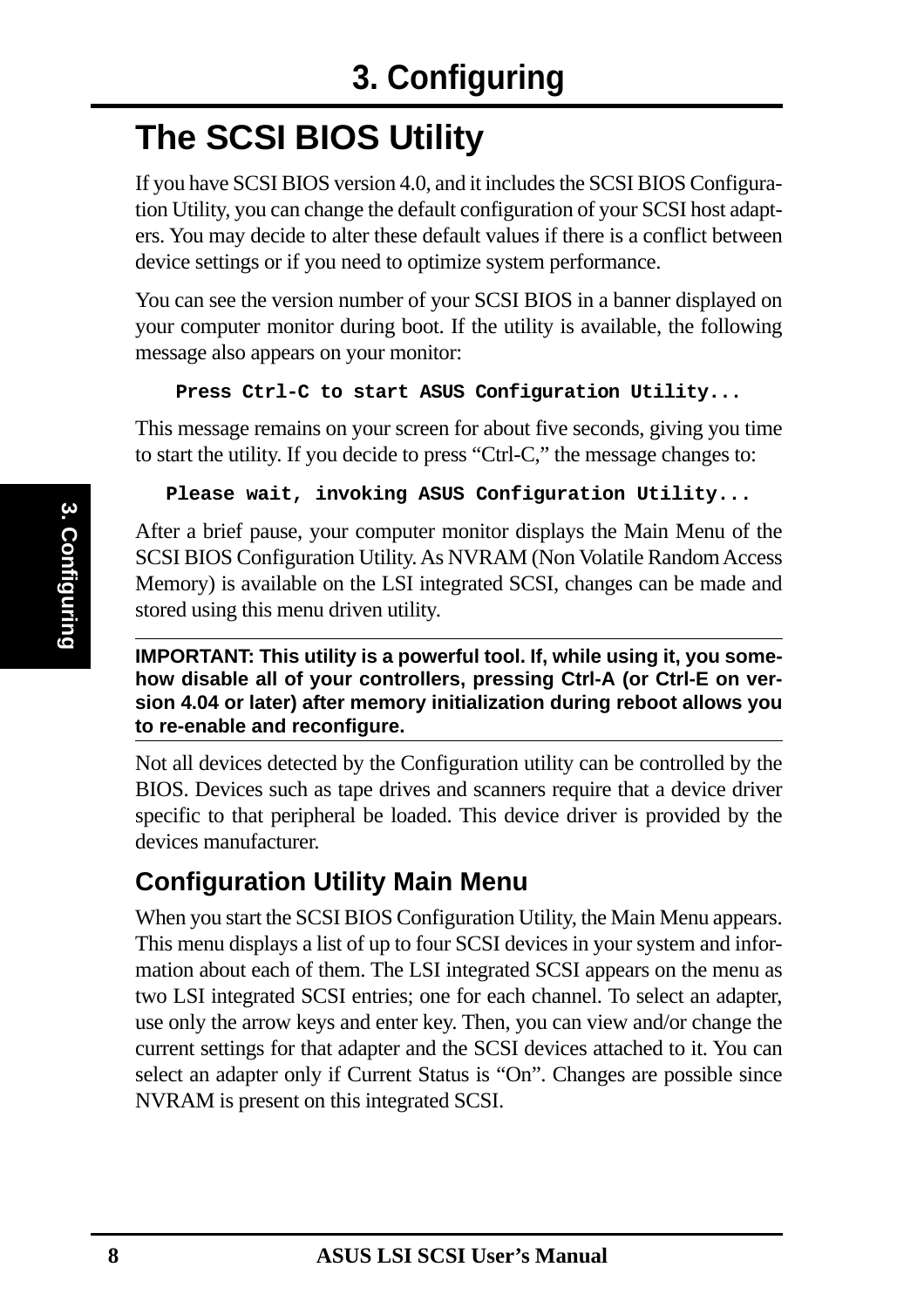# **The SCSI BIOS Utility**

If you have SCSI BIOS version 4.0, and it includes the SCSI BIOS Configuration Utility, you can change the default configuration of your SCSI host adapters. You may decide to alter these default values if there is a conflict between device settings or if you need to optimize system performance.

You can see the version number of your SCSI BIOS in a banner displayed on your computer monitor during boot. If the utility is available, the following message also appears on your monitor:

#### **Press Ctrl-C to start ASUS Configuration Utility...**

This message remains on your screen for about five seconds, giving you time to start the utility. If you decide to press "Ctrl-C," the message changes to:

#### **Please wait, invoking ASUS Configuration Utility...**

After a brief pause, your computer monitor displays the Main Menu of the SCSI BIOS Configuration Utility. As NVRAM (Non Volatile Random Access Memory) is available on the LSI integrated SCSI, changes can be made and stored using this menu driven utility.

#### **IMPORTANT: This utility is a powerful tool. If, while using it, you somehow disable all of your controllers, pressing Ctrl-A (or Ctrl-E on version 4.04 or later) after memory initialization during reboot allows you to re-enable and reconfigure.**

Not all devices detected by the Configuration utility can be controlled by the BIOS. Devices such as tape drives and scanners require that a device driver specific to that peripheral be loaded. This device driver is provided by the devices manufacturer.

#### **Configuration Utility Main Menu**

When you start the SCSI BIOS Configuration Utility, the Main Menu appears. This menu displays a list of up to four SCSI devices in your system and information about each of them. The LSI integrated SCSI appears on the menu as two LSI integrated SCSI entries; one for each channel. To select an adapter, use only the arrow keys and enter key. Then, you can view and/or change the current settings for that adapter and the SCSI devices attached to it. You can select an adapter only if Current Status is "On". Changes are possible since NVRAM is present on this integrated SCSI.

**3. Configuring**

3. Configuring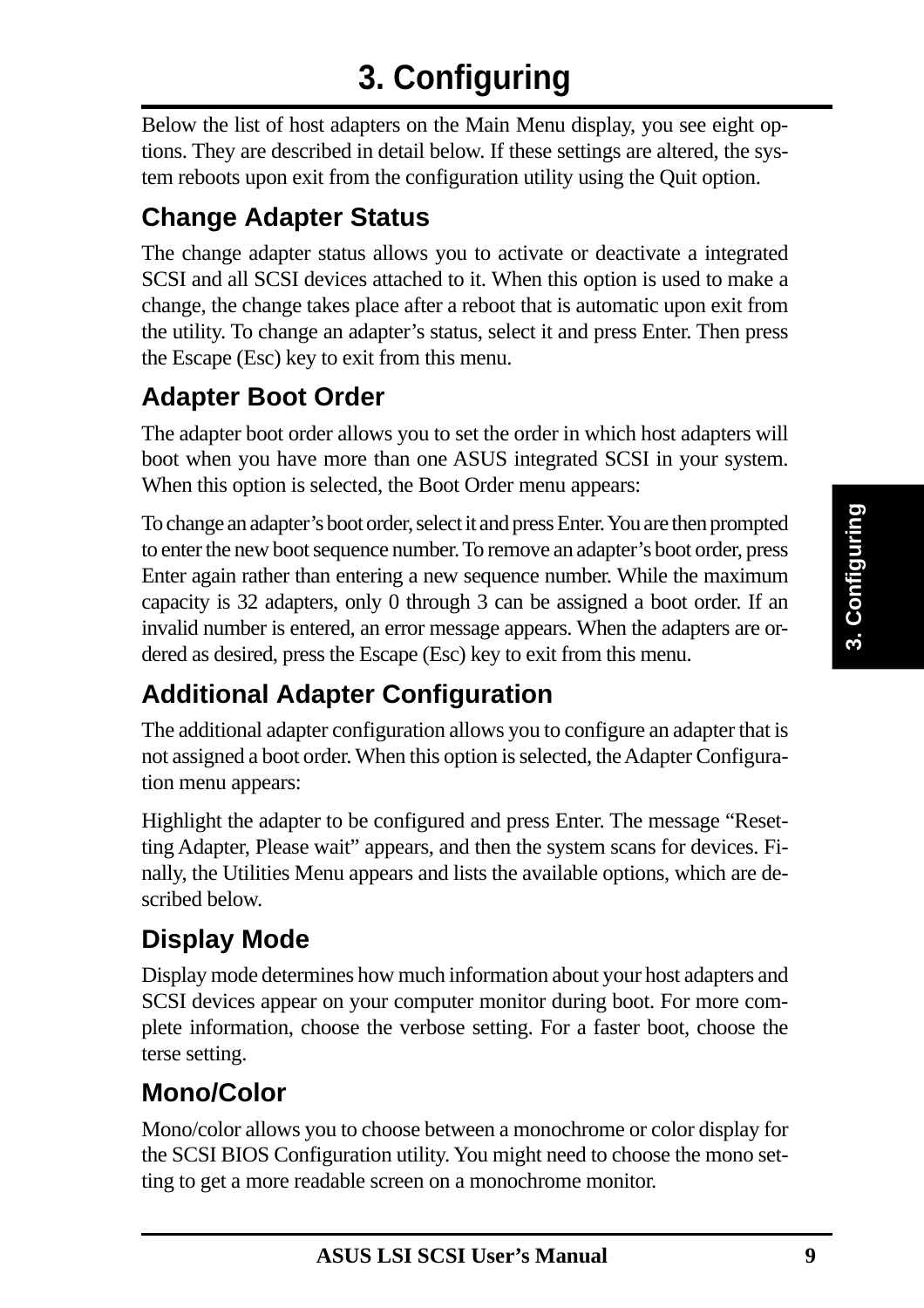# **3. Configuring**

Below the list of host adapters on the Main Menu display, you see eight options. They are described in detail below. If these settings are altered, the system reboots upon exit from the configuration utility using the Quit option.

### **Change Adapter Status**

The change adapter status allows you to activate or deactivate a integrated SCSI and all SCSI devices attached to it. When this option is used to make a change, the change takes place after a reboot that is automatic upon exit from the utility. To change an adapter's status, select it and press Enter. Then press the Escape (Esc) key to exit from this menu.

### **Adapter Boot Order**

The adapter boot order allows you to set the order in which host adapters will boot when you have more than one ASUS integrated SCSI in your system. When this option is selected, the Boot Order menu appears:

To change an adapter's boot order, select it and press Enter. You are then prompted to enter the new boot sequence number. To remove an adapter's boot order, press Enter again rather than entering a new sequence number. While the maximum capacity is 32 adapters, only 0 through 3 can be assigned a boot order. If an invalid number is entered, an error message appears. When the adapters are ordered as desired, press the Escape (Esc) key to exit from this menu.

### **Additional Adapter Configuration**

The additional adapter configuration allows you to configure an adapter that is not assigned a boot order. When this option is selected, the Adapter Configuration menu appears:

Highlight the adapter to be configured and press Enter. The message "Resetting Adapter, Please wait" appears, and then the system scans for devices. Finally, the Utilities Menu appears and lists the available options, which are described below.

### **Display Mode**

Display mode determines how much information about your host adapters and SCSI devices appear on your computer monitor during boot. For more complete information, choose the verbose setting. For a faster boot, choose the terse setting.

### **Mono/Color**

Mono/color allows you to choose between a monochrome or color display for the SCSI BIOS Configuration utility. You might need to choose the mono setting to get a more readable screen on a monochrome monitor.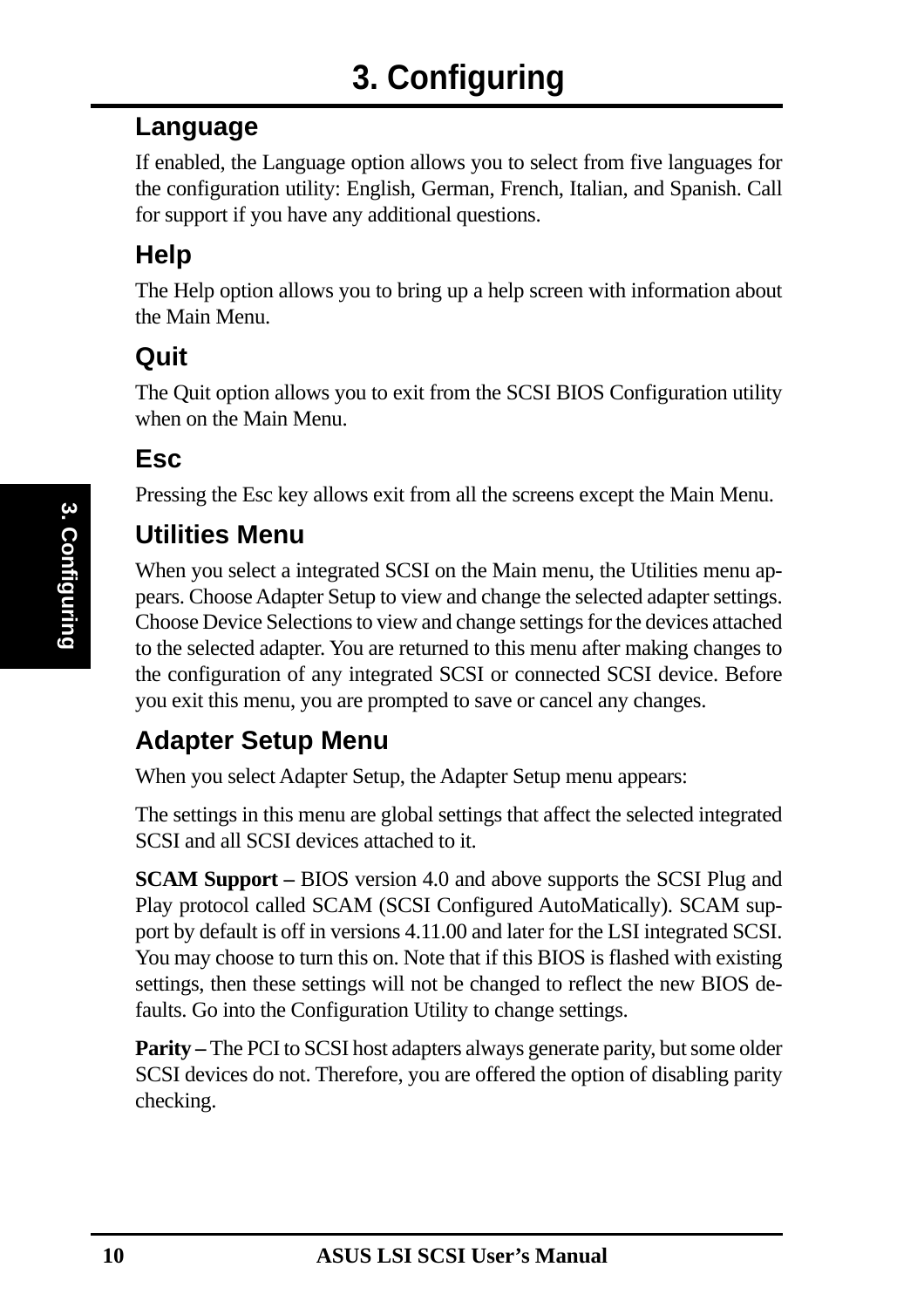#### **Language**

If enabled, the Language option allows you to select from five languages for the configuration utility: English, German, French, Italian, and Spanish. Call for support if you have any additional questions.

### **Help**

The Help option allows you to bring up a help screen with information about the Main Menu.

### **Quit**

The Quit option allows you to exit from the SCSI BIOS Configuration utility when on the Main Menu.

#### **Esc**

Pressing the Esc key allows exit from all the screens except the Main Menu.

#### **Utilities Menu**

When you select a integrated SCSI on the Main menu, the Utilities menu appears. Choose Adapter Setup to view and change the selected adapter settings. Choose Device Selections to view and change settings for the devices attached to the selected adapter. You are returned to this menu after making changes to the configuration of any integrated SCSI or connected SCSI device. Before you exit this menu, you are prompted to save or cancel any changes.

### **Adapter Setup Menu**

When you select Adapter Setup, the Adapter Setup menu appears:

The settings in this menu are global settings that affect the selected integrated SCSI and all SCSI devices attached to it.

**SCAM Support –** BIOS version 4.0 and above supports the SCSI Plug and Play protocol called SCAM (SCSI Configured AutoMatically). SCAM support by default is off in versions 4.11.00 and later for the LSI integrated SCSI. You may choose to turn this on. Note that if this BIOS is flashed with existing settings, then these settings will not be changed to reflect the new BIOS defaults. Go into the Configuration Utility to change settings.

**Parity** – The PCI to SCSI host adapters always generate parity, but some older SCSI devices do not. Therefore, you are offered the option of disabling parity checking.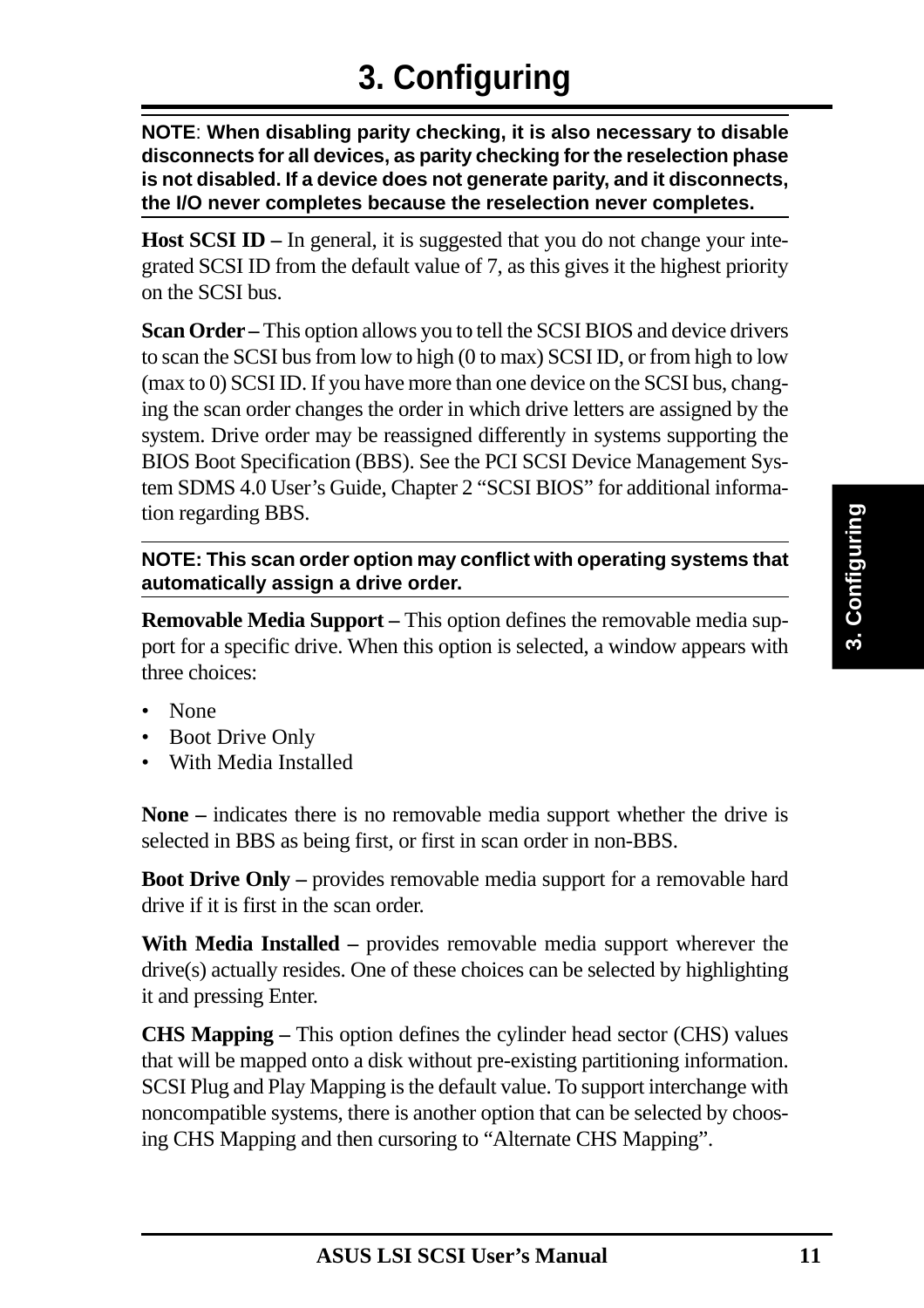**NOTE**: **When disabling parity checking, it is also necessary to disable disconnects for all devices, as parity checking for the reselection phase is not disabled. If a device does not generate parity, and it disconnects, the I/O never completes because the reselection never completes.**

**Host SCSI ID –** In general, it is suggested that you do not change your integrated SCSI ID from the default value of 7, as this gives it the highest priority on the SCSI bus.

**Scan Order –** This option allows you to tell the SCSI BIOS and device drivers to scan the SCSI bus from low to high (0 to max) SCSI ID, or from high to low (max to 0) SCSI ID. If you have more than one device on the SCSI bus, changing the scan order changes the order in which drive letters are assigned by the system. Drive order may be reassigned differently in systems supporting the BIOS Boot Specification (BBS). See the PCI SCSI Device Management System SDMS 4.0 User's Guide, Chapter 2 "SCSI BIOS" for additional information regarding BBS.

#### **NOTE: This scan order option may conflict with operating systems that automatically assign a drive order.**

**Removable Media Support –** This option defines the removable media support for a specific drive. When this option is selected, a window appears with three choices:

- None
- Boot Drive Only
- With Media Installed

**None –** indicates there is no removable media support whether the drive is selected in BBS as being first, or first in scan order in non-BBS.

**Boot Drive Only –** provides removable media support for a removable hard drive if it is first in the scan order.

**With Media Installed –** provides removable media support wherever the drive(s) actually resides. One of these choices can be selected by highlighting it and pressing Enter.

**CHS Mapping –** This option defines the cylinder head sector (CHS) values that will be mapped onto a disk without pre-existing partitioning information. SCSI Plug and Play Mapping is the default value. To support interchange with noncompatible systems, there is another option that can be selected by choosing CHS Mapping and then cursoring to "Alternate CHS Mapping".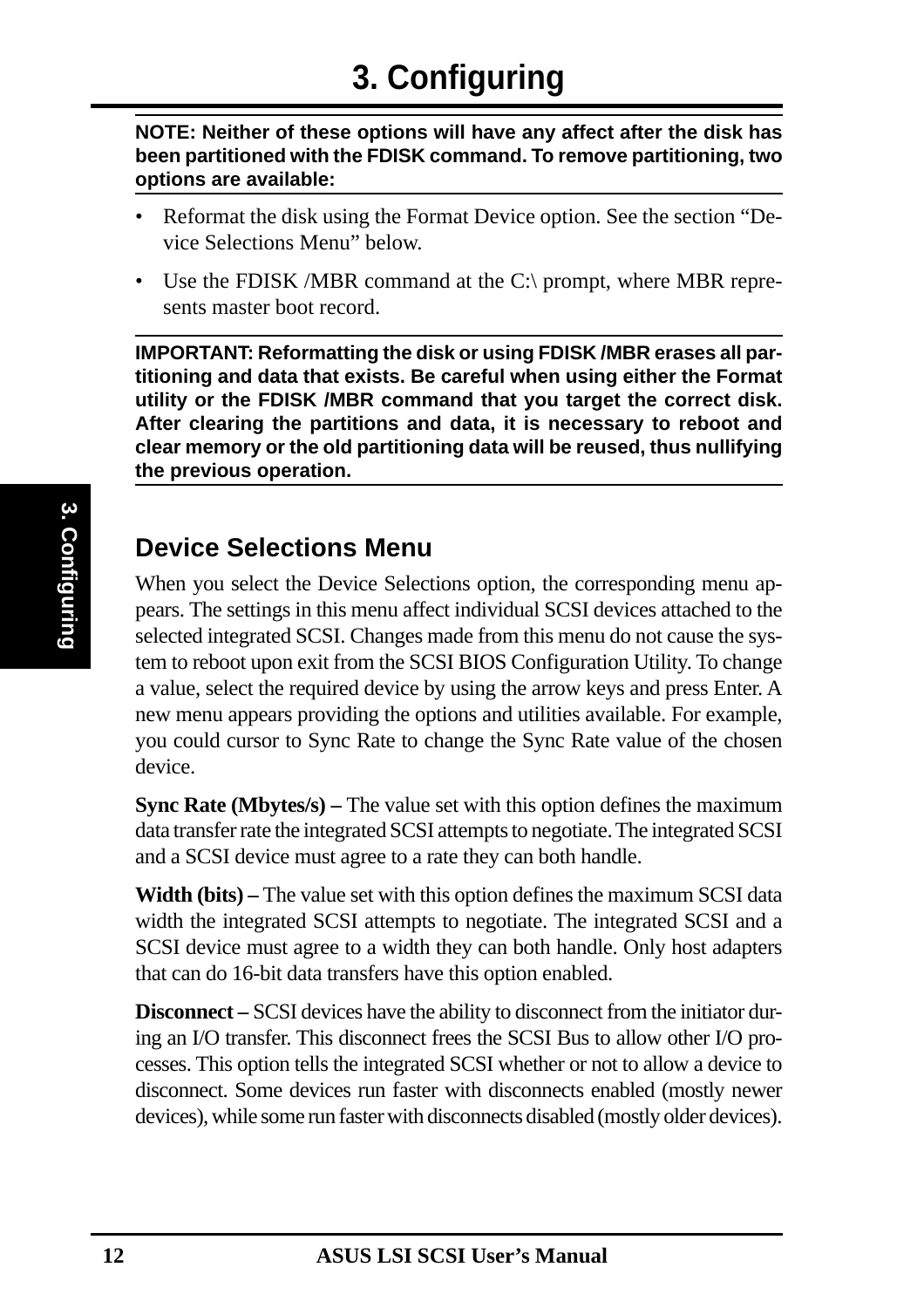**NOTE: Neither of these options will have any affect after the disk has been partitioned with the FDISK command. To remove partitioning, two options are available:**

- Reformat the disk using the Format Device option. See the section "Device Selections Menu" below.
- Use the FDISK *(MBR command at the C:\ prompt, where MBR repre*sents master boot record.

**IMPORTANT: Reformatting the disk or using FDISK /MBR erases all partitioning and data that exists. Be careful when using either the Format utility or the FDISK /MBR command that you target the correct disk. After clearing the partitions and data, it is necessary to reboot and clear memory or the old partitioning data will be reused, thus nullifying the previous operation.**

#### **Device Selections Menu**

When you select the Device Selections option, the corresponding menu appears. The settings in this menu affect individual SCSI devices attached to the selected integrated SCSI. Changes made from this menu do not cause the system to reboot upon exit from the SCSI BIOS Configuration Utility. To change a value, select the required device by using the arrow keys and press Enter. A new menu appears providing the options and utilities available. For example, you could cursor to Sync Rate to change the Sync Rate value of the chosen device.

**Sync Rate (Mbytes/s) – The value set with this option defines the maximum** data transfer rate the integrated SCSI attempts to negotiate. The integrated SCSI and a SCSI device must agree to a rate they can both handle.

**Width (bits)** – The value set with this option defines the maximum SCSI data width the integrated SCSI attempts to negotiate. The integrated SCSI and a SCSI device must agree to a width they can both handle. Only host adapters that can do 16-bit data transfers have this option enabled.

**Disconnect –** SCSI devices have the ability to disconnect from the initiator during an I/O transfer. This disconnect frees the SCSI Bus to allow other I/O processes. This option tells the integrated SCSI whether or not to allow a device to disconnect. Some devices run faster with disconnects enabled (mostly newer devices), while some run faster with disconnects disabled (mostly older devices).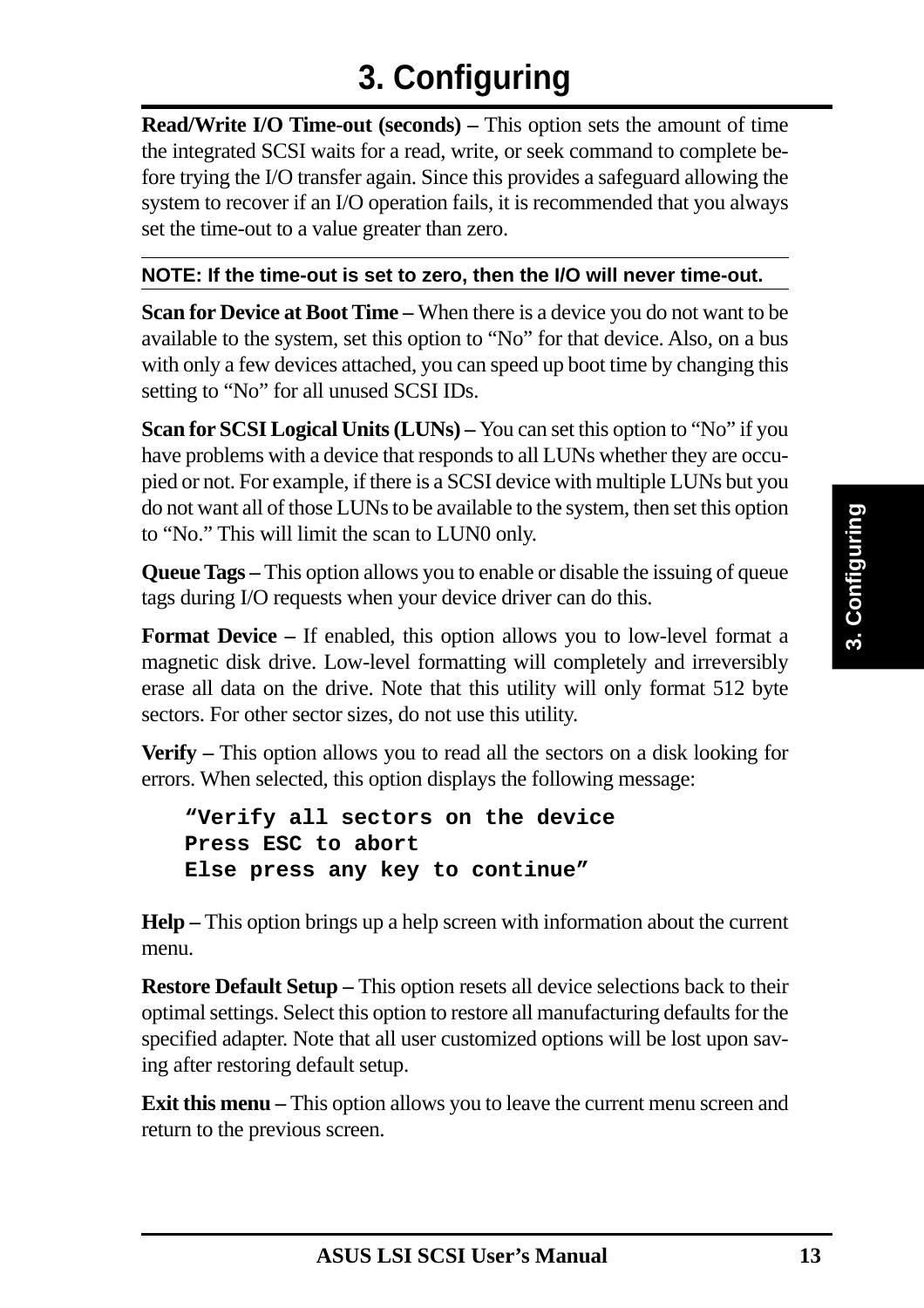**Read/Write I/O Time-out (seconds) – This option sets the amount of time** the integrated SCSI waits for a read, write, or seek command to complete before trying the I/O transfer again. Since this provides a safeguard allowing the system to recover if an I/O operation fails, it is recommended that you always set the time-out to a value greater than zero.

#### **NOTE: If the time-out is set to zero, then the I/O will never time-out.**

**Scan for Device at Boot Time –** When there is a device you do not want to be available to the system, set this option to "No" for that device. Also, on a bus with only a few devices attached, you can speed up boot time by changing this setting to "No" for all unused SCSI IDs.

**Scan for SCSI Logical Units (LUNs) –** You can set this option to "No" if you have problems with a device that responds to all LUNs whether they are occupied or not. For example, if there is a SCSI device with multiple LUNs but you do not want all of those LUNs to be available to the system, then set this option to "No." This will limit the scan to LUN0 only.

**Queue Tags –** This option allows you to enable or disable the issuing of queue tags during I/O requests when your device driver can do this.

**Format Device –** If enabled, this option allows you to low-level format a magnetic disk drive. Low-level formatting will completely and irreversibly erase all data on the drive. Note that this utility will only format 512 byte sectors. For other sector sizes, do not use this utility.

**Verify –** This option allows you to read all the sectors on a disk looking for errors. When selected, this option displays the following message:

```
"Verify all sectors on the device
Press ESC to abort
Else press any key to continue"
```
**Help –** This option brings up a help screen with information about the current menu.

**Restore Default Setup –** This option resets all device selections back to their optimal settings. Select this option to restore all manufacturing defaults for the specified adapter. Note that all user customized options will be lost upon saving after restoring default setup.

**Exit this menu** – This option allows you to leave the current menu screen and return to the previous screen.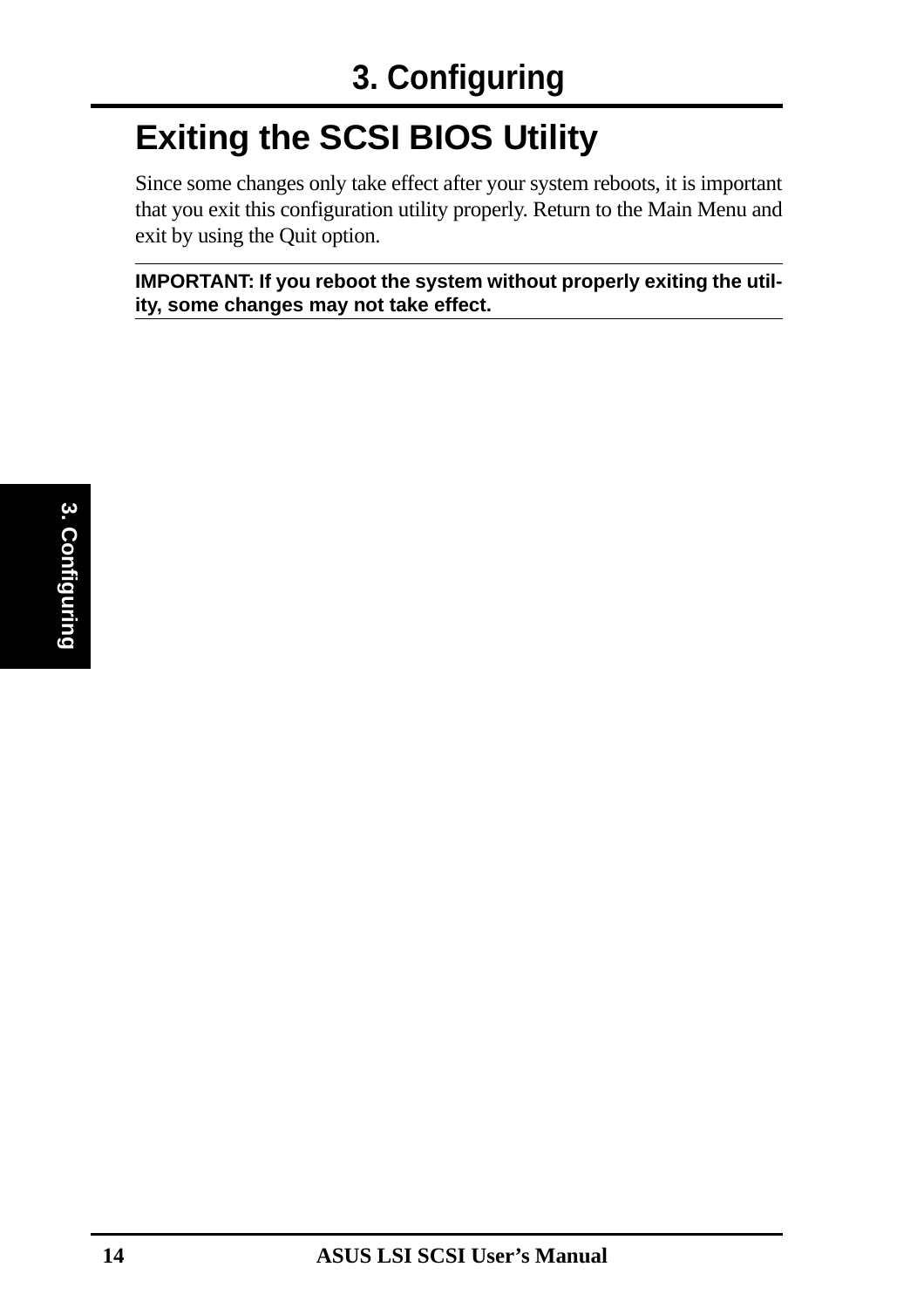# **Exiting the SCSI BIOS Utility**

Since some changes only take effect after your system reboots, it is important that you exit this configuration utility properly. Return to the Main Menu and exit by using the Quit option.

**IMPORTANT: If you reboot the system without properly exiting the utility, some changes may not take effect.**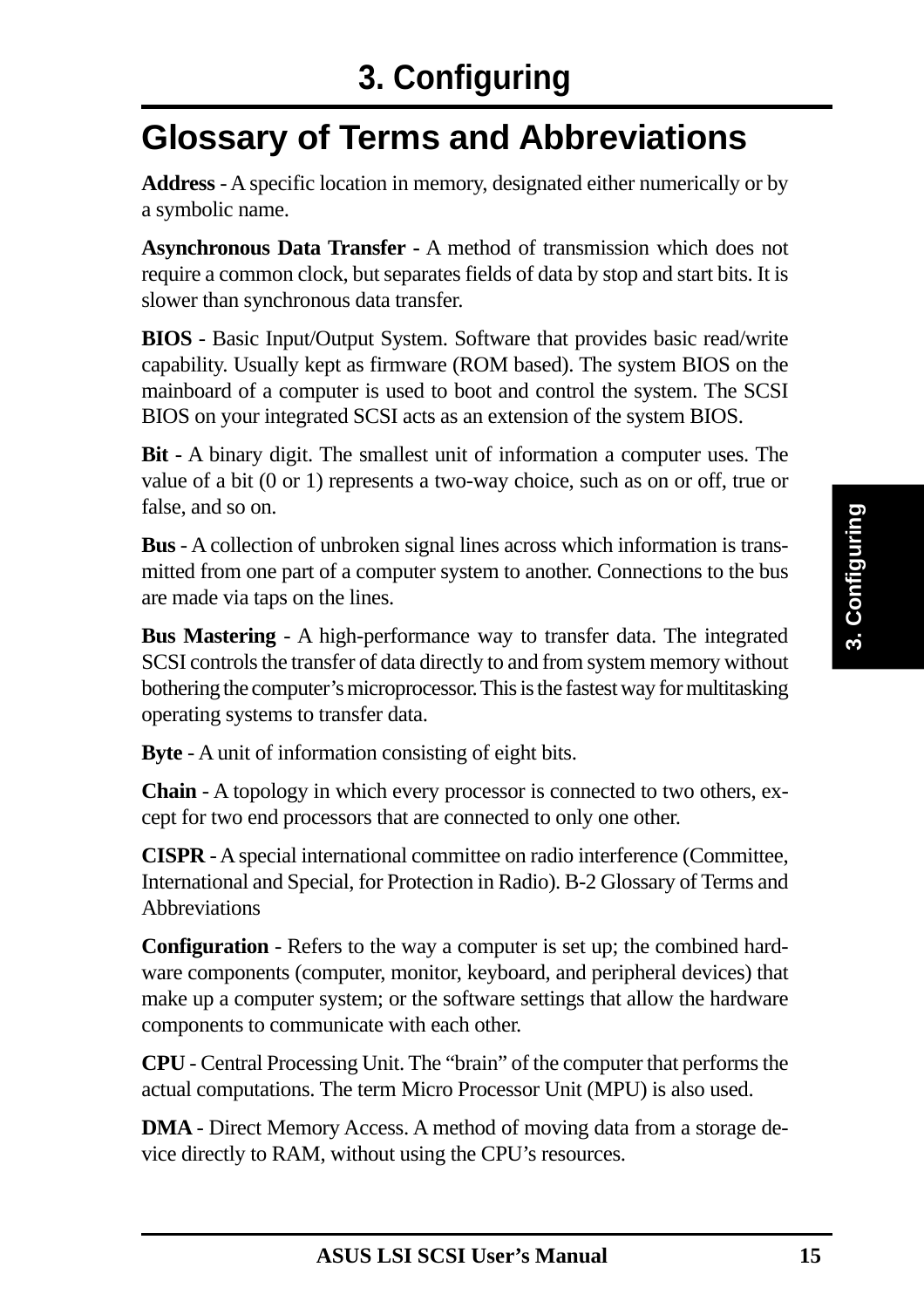# **Glossary of Terms and Abbreviations**

**Address** - A specific location in memory, designated either numerically or by a symbolic name.

**Asynchronous Data Transfer -** A method of transmission which does not require a common clock, but separates fields of data by stop and start bits. It is slower than synchronous data transfer.

**BIOS** - Basic Input/Output System. Software that provides basic read/write capability. Usually kept as firmware (ROM based). The system BIOS on the mainboard of a computer is used to boot and control the system. The SCSI BIOS on your integrated SCSI acts as an extension of the system BIOS.

**Bit** - A binary digit. The smallest unit of information a computer uses. The value of a bit (0 or 1) represents a two-way choice, such as on or off, true or false, and so on.

**Bus** - A collection of unbroken signal lines across which information is transmitted from one part of a computer system to another. Connections to the bus are made via taps on the lines.

**Bus Mastering** - A high-performance way to transfer data. The integrated SCSI controls the transfer of data directly to and from system memory without bothering the computer's microprocessor. This is the fastest way for multitasking operating systems to transfer data.

**Byte** - A unit of information consisting of eight bits.

**Chain** - A topology in which every processor is connected to two others, except for two end processors that are connected to only one other.

**CISPR** - A special international committee on radio interference (Committee, International and Special, for Protection in Radio). B-2 Glossary of Terms and **Abbreviations** 

**Configuration** - Refers to the way a computer is set up; the combined hardware components (computer, monitor, keyboard, and peripheral devices) that make up a computer system; or the software settings that allow the hardware components to communicate with each other.

**CPU** - Central Processing Unit. The "brain" of the computer that performs the actual computations. The term Micro Processor Unit (MPU) is also used.

**DMA** - Direct Memory Access. A method of moving data from a storage device directly to RAM, without using the CPU's resources.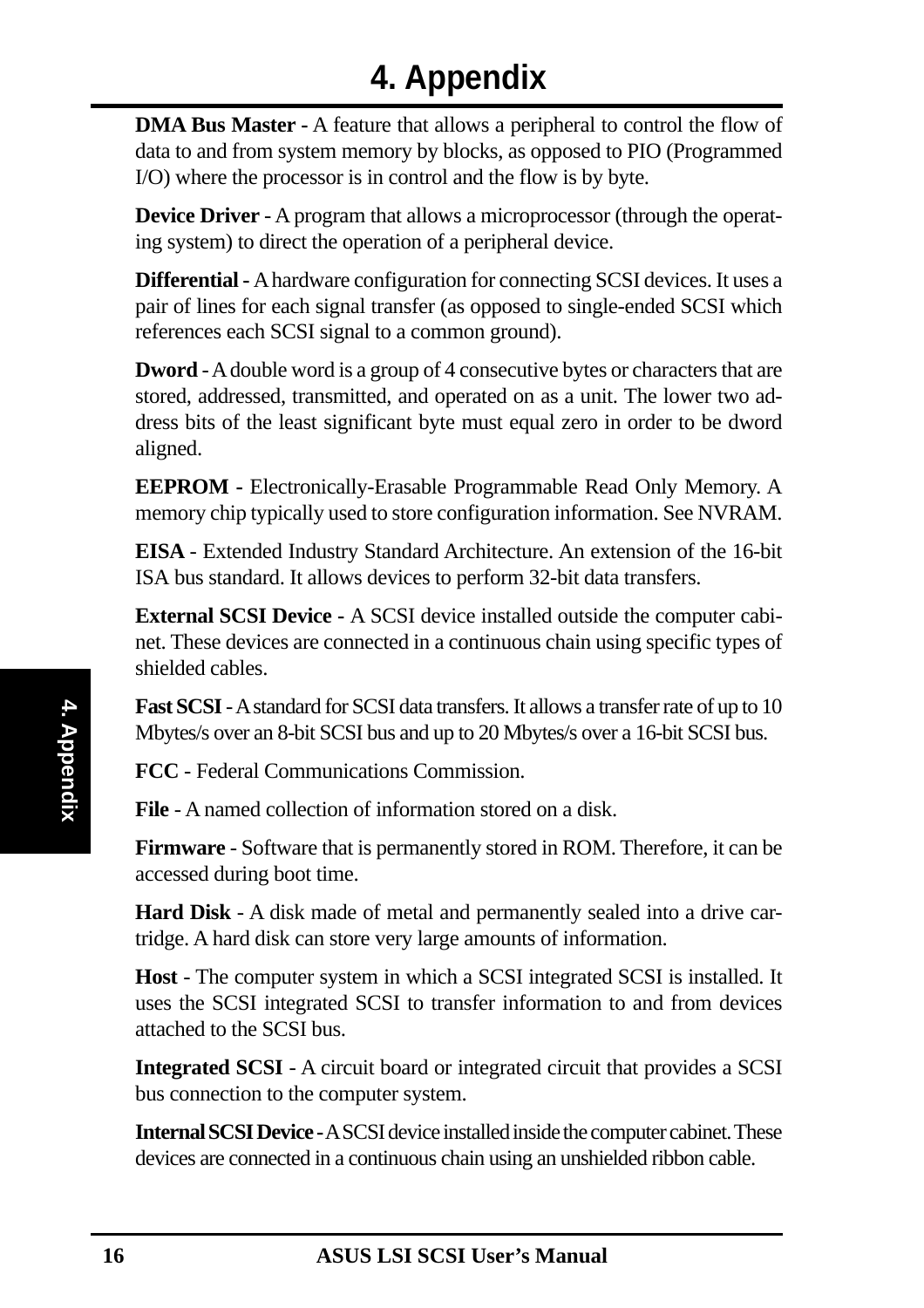**DMA Bus Master -** A feature that allows a peripheral to control the flow of data to and from system memory by blocks, as opposed to PIO (Programmed I/O) where the processor is in control and the flow is by byte.

**Device Driver** - A program that allows a microprocessor (through the operating system) to direct the operation of a peripheral device.

**Differential -** A hardware configuration for connecting SCSI devices. It uses a pair of lines for each signal transfer (as opposed to single-ended SCSI which references each SCSI signal to a common ground).

**Dword** - A double word is a group of 4 consecutive bytes or characters that are stored, addressed, transmitted, and operated on as a unit. The lower two address bits of the least significant byte must equal zero in order to be dword aligned.

**EEPROM -** Electronically-Erasable Programmable Read Only Memory. A memory chip typically used to store configuration information. See NVRAM.

**EISA** - Extended Industry Standard Architecture. An extension of the 16-bit ISA bus standard. It allows devices to perform 32-bit data transfers.

**External SCSI Device -** A SCSI device installed outside the computer cabinet. These devices are connected in a continuous chain using specific types of shielded cables.

**Fast SCSI** - A standard for SCSI data transfers. It allows a transfer rate of up to 10 Mbytes/s over an 8-bit SCSI bus and up to 20 Mbytes/s over a 16-bit SCSI bus.

**FCC** - Federal Communications Commission.

**File** - A named collection of information stored on a disk.

**Firmware** - Software that is permanently stored in ROM. Therefore, it can be accessed during boot time.

**Hard Disk** - A disk made of metal and permanently sealed into a drive cartridge. A hard disk can store very large amounts of information.

**Host** - The computer system in which a SCSI integrated SCSI is installed. It uses the SCSI integrated SCSI to transfer information to and from devices attached to the SCSI bus.

**Integrated SCSI** - A circuit board or integrated circuit that provides a SCSI bus connection to the computer system.

**Internal SCSI Device -** A SCSI device installed inside the computer cabinet. These devices are connected in a continuous chain using an unshielded ribbon cable.

**4. Appendix**

4. Appendix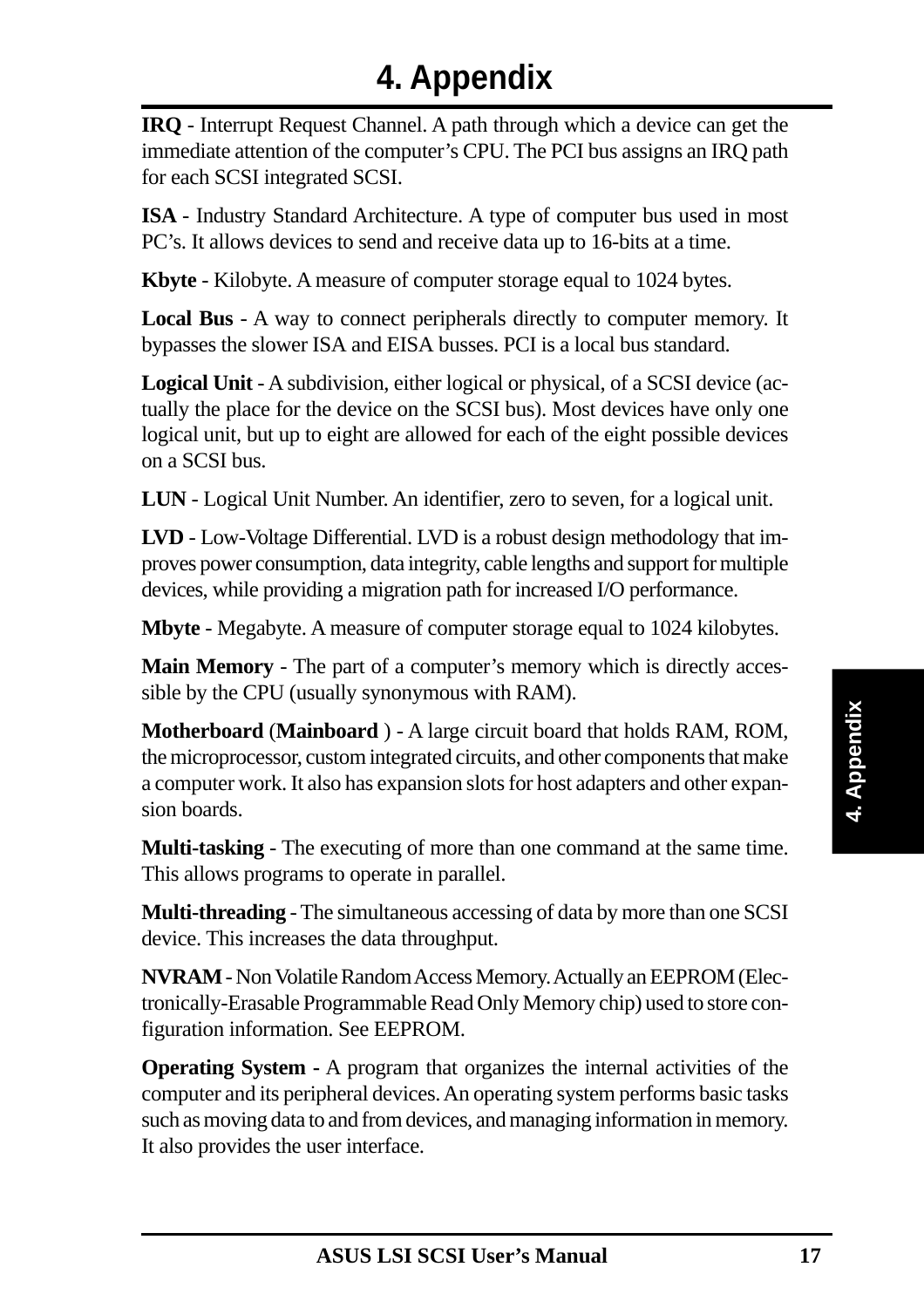**IRQ** - Interrupt Request Channel. A path through which a device can get the immediate attention of the computer's CPU. The PCI bus assigns an IRQ path for each SCSI integrated SCSI.

**ISA** - Industry Standard Architecture. A type of computer bus used in most PC's. It allows devices to send and receive data up to 16-bits at a time.

**Kbyte** - Kilobyte. A measure of computer storage equal to 1024 bytes.

**Local Bus** - A way to connect peripherals directly to computer memory. It bypasses the slower ISA and EISA busses. PCI is a local bus standard.

**Logical Unit** - A subdivision, either logical or physical, of a SCSI device (actually the place for the device on the SCSI bus). Most devices have only one logical unit, but up to eight are allowed for each of the eight possible devices on a SCSI bus.

**LUN** - Logical Unit Number. An identifier, zero to seven, for a logical unit.

**LVD** - Low-Voltage Differential. LVD is a robust design methodology that improves power consumption, data integrity, cable lengths and support for multiple devices, while providing a migration path for increased I/O performance.

**Mbyte** - Megabyte. A measure of computer storage equal to 1024 kilobytes.

**Main Memory** - The part of a computer's memory which is directly accessible by the CPU (usually synonymous with RAM).

**Motherboard** (**Mainboard** ) - A large circuit board that holds RAM, ROM, the microprocessor, custom integrated circuits, and other components that make a computer work. It also has expansion slots for host adapters and other expansion boards.

**Multi-tasking** - The executing of more than one command at the same time. This allows programs to operate in parallel.

**Multi-threading** - The simultaneous accessing of data by more than one SCSI device. This increases the data throughput.

**NVRAM** - Non Volatile Random Access Memory. Actually an EEPROM (Electronically-Erasable Programmable Read Only Memory chip) used to store configuration information. See EEPROM.

**Operating System -** A program that organizes the internal activities of the computer and its peripheral devices. An operating system performs basic tasks such as moving data to and from devices, and managing information in memory. It also provides the user interface.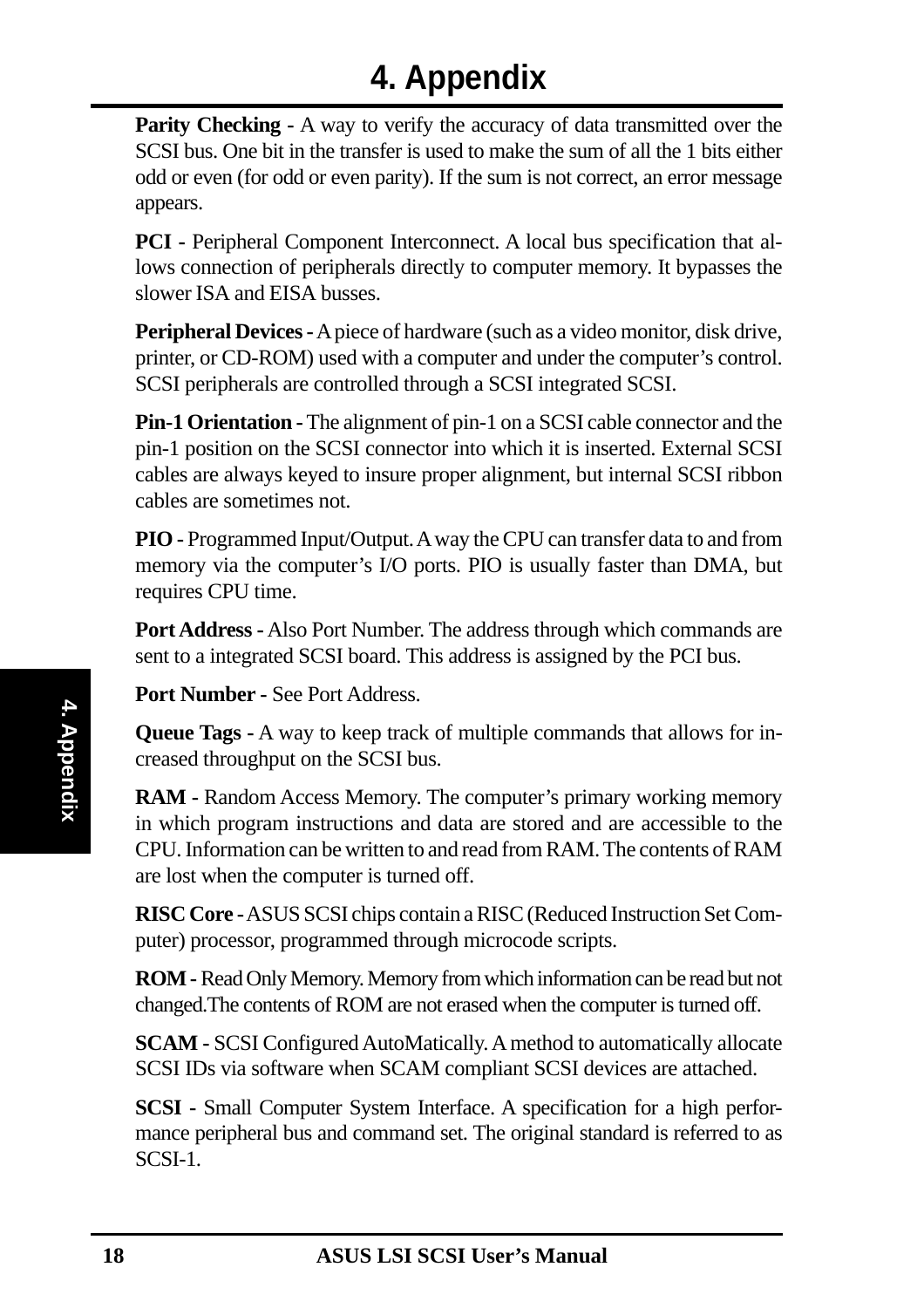**Parity Checking -** A way to verify the accuracy of data transmitted over the SCSI bus. One bit in the transfer is used to make the sum of all the 1 bits either odd or even (for odd or even parity). If the sum is not correct, an error message appears.

**PCI -** Peripheral Component Interconnect. A local bus specification that allows connection of peripherals directly to computer memory. It bypasses the slower ISA and EISA busses.

**Peripheral Devices -** A piece of hardware (such as a video monitor, disk drive, printer, or CD-ROM) used with a computer and under the computer's control. SCSI peripherals are controlled through a SCSI integrated SCSI.

**Pin-1 Orientation -** The alignment of pin-1 on a SCSI cable connector and the pin-1 position on the SCSI connector into which it is inserted. External SCSI cables are always keyed to insure proper alignment, but internal SCSI ribbon cables are sometimes not.

**PIO -** Programmed Input/Output. A way the CPU can transfer data to and from memory via the computer's I/O ports. PIO is usually faster than DMA, but requires CPU time.

**Port Address -** Also Port Number. The address through which commands are sent to a integrated SCSI board. This address is assigned by the PCI bus.

**Port Number -** See Port Address.

**Queue Tags -** A way to keep track of multiple commands that allows for increased throughput on the SCSI bus.

**RAM -** Random Access Memory. The computer's primary working memory in which program instructions and data are stored and are accessible to the CPU. Information can be written to and read from RAM. The contents of RAM are lost when the computer is turned off.

**RISC Core -** ASUS SCSI chips contain a RISC (Reduced Instruction Set Computer) processor, programmed through microcode scripts.

**ROM -** Read Only Memory. Memory from which information can be read but not changed.The contents of ROM are not erased when the computer is turned off.

**SCAM -** SCSI Configured AutoMatically. A method to automatically allocate SCSI IDs via software when SCAM compliant SCSI devices are attached.

**SCSI -** Small Computer System Interface. A specification for a high performance peripheral bus and command set. The original standard is referred to as SCSI-1.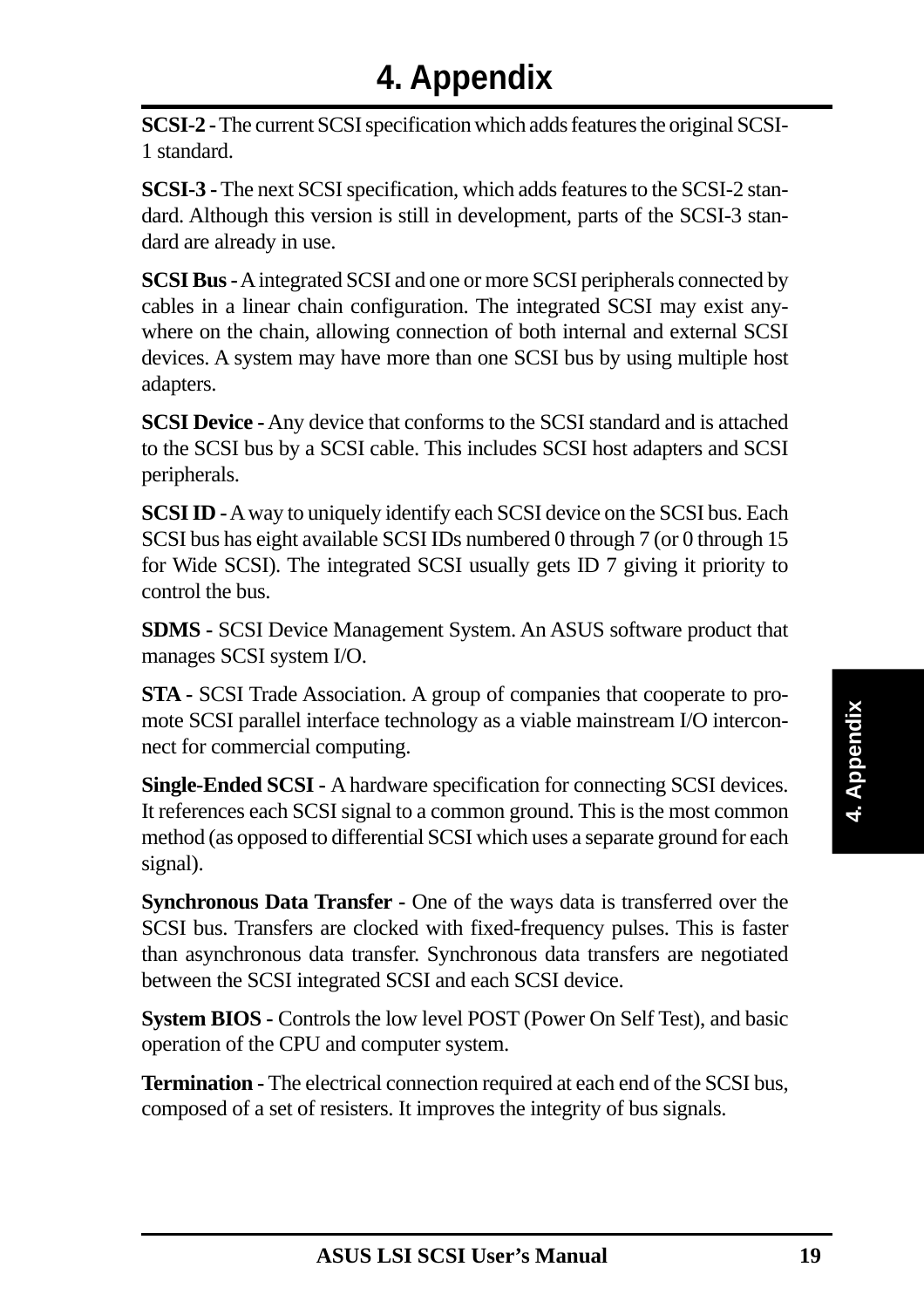**SCSI-2 -** The current SCSI specification which adds features the original SCSI-1 standard.

**SCSI-3 -** The next SCSI specification, which adds features to the SCSI-2 standard. Although this version is still in development, parts of the SCSI-3 standard are already in use.

**SCSI Bus -** A integrated SCSI and one or more SCSI peripherals connected by cables in a linear chain configuration. The integrated SCSI may exist anywhere on the chain, allowing connection of both internal and external SCSI devices. A system may have more than one SCSI bus by using multiple host adapters.

**SCSI Device -** Any device that conforms to the SCSI standard and is attached to the SCSI bus by a SCSI cable. This includes SCSI host adapters and SCSI peripherals.

**SCSI ID -** A way to uniquely identify each SCSI device on the SCSI bus. Each SCSI bus has eight available SCSI IDs numbered 0 through 7 (or 0 through 15 for Wide SCSI). The integrated SCSI usually gets ID 7 giving it priority to control the bus.

**SDMS -** SCSI Device Management System. An ASUS software product that manages SCSI system I/O.

**STA -** SCSI Trade Association. A group of companies that cooperate to promote SCSI parallel interface technology as a viable mainstream I/O interconnect for commercial computing.

**Single-Ended SCSI -** A hardware specification for connecting SCSI devices. It references each SCSI signal to a common ground. This is the most common method (as opposed to differential SCSI which uses a separate ground for each signal).

**Synchronous Data Transfer -** One of the ways data is transferred over the SCSI bus. Transfers are clocked with fixed-frequency pulses. This is faster than asynchronous data transfer. Synchronous data transfers are negotiated between the SCSI integrated SCSI and each SCSI device.

**System BIOS -** Controls the low level POST (Power On Self Test), and basic operation of the CPU and computer system.

**Termination -** The electrical connection required at each end of the SCSI bus, composed of a set of resisters. It improves the integrity of bus signals.